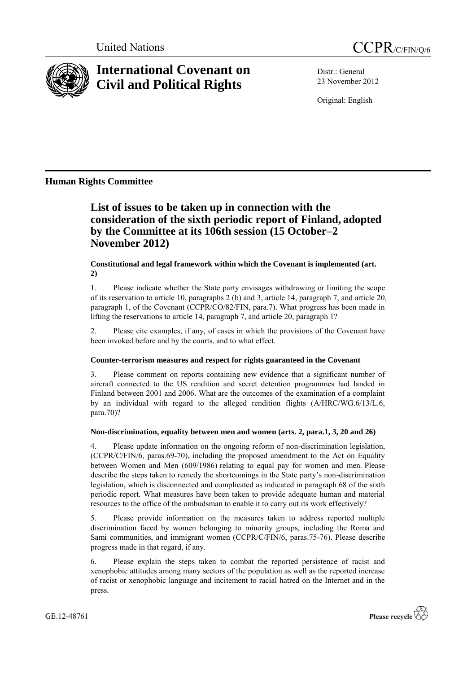



# **International Covenant on Civil and Political Rights**

Distr.: General 23 November 2012

Original: English

## **Human Rights Committee**

## **List of issues to be taken up in connection with the consideration of the sixth periodic report of Finland, adopted by the Committee at its 106th session (15 October–2 November 2012)**

## **Constitutional and legal framework within which the Covenant is implemented (art. 2)**

1. Please indicate whether the State party envisages withdrawing or limiting the scope of its reservation to article 10, paragraphs 2 (b) and 3, article 14, paragraph 7, and article 20, paragraph 1, of the Covenant (CCPR/CO/82/FIN, para.7). What progress has been made in lifting the reservations to article 14, paragraph 7, and article 20, paragraph 1?

2. Please cite examples, if any, of cases in which the provisions of the Covenant have been invoked before and by the courts, and to what effect.

## **Counter-terrorism measures and respect for rights guaranteed in the Covenant**

3. Please comment on reports containing new evidence that a significant number of aircraft connected to the US rendition and secret detention programmes had landed in Finland between 2001 and 2006. What are the outcomes of the examination of a complaint by an individual with regard to the alleged rendition flights (A/HRC/WG.6/13/L.6, para.70)?

## **Non-discrimination, equality between men and women (arts. 2, para.1, 3, 20 and 26)**

4. Please update information on the ongoing reform of non-discrimination legislation, (CCPR/C/FIN/6, paras.69-70), including the proposed amendment to the Act on Equality between Women and Men (609/1986) relating to equal pay for women and men. Please describe the steps taken to remedy the shortcomings in the State party's non-discrimination legislation, which is disconnected and complicated as indicated in paragraph 68 of the sixth periodic report. What measures have been taken to provide adequate human and material resources to the office of the ombudsman to enable it to carry out its work effectively?

5. Please provide information on the measures taken to address reported multiple discrimination faced by women belonging to minority groups, including the Roma and Sami communities, and immigrant women (CCPR/C/FIN/6, paras.75-76). Please describe progress made in that regard, if any.

6. Please explain the steps taken to combat the reported persistence of racist and xenophobic attitudes among many sectors of the population as well as the reported increase of racist or xenophobic language and incitement to racial hatred on the Internet and in the press.

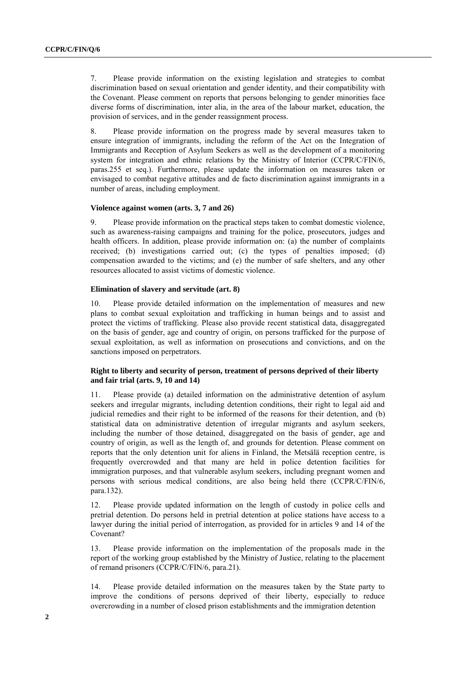7. Please provide information on the existing legislation and strategies to combat discrimination based on sexual orientation and gender identity, and their compatibility with the Covenant. Please comment on reports that persons belonging to gender minorities face diverse forms of discrimination, inter alia, in the area of the labour market, education, the provision of services, and in the gender reassignment process.

8. Please provide information on the progress made by several measures taken to ensure integration of immigrants, including the reform of the Act on the Integration of Immigrants and Reception of Asylum Seekers as well as the development of a monitoring system for integration and ethnic relations by the Ministry of Interior (CCPR/C/FIN/6, paras.255 et seq.). Furthermore, please update the information on measures taken or envisaged to combat negative attitudes and de facto discrimination against immigrants in a number of areas, including employment.

#### **Violence against women (arts. 3, 7 and 26)**

9. Please provide information on the practical steps taken to combat domestic violence, such as awareness-raising campaigns and training for the police, prosecutors, judges and health officers. In addition, please provide information on: (a) the number of complaints received; (b) investigations carried out; (c) the types of penalties imposed; (d) compensation awarded to the victims; and (e) the number of safe shelters, and any other resources allocated to assist victims of domestic violence.

#### **Elimination of slavery and servitude (art. 8)**

10. Please provide detailed information on the implementation of measures and new plans to combat sexual exploitation and trafficking in human beings and to assist and protect the victims of trafficking. Please also provide recent statistical data, disaggregated on the basis of gender, age and country of origin, on persons trafficked for the purpose of sexual exploitation, as well as information on prosecutions and convictions, and on the sanctions imposed on perpetrators.

### **Right to liberty and security of person, treatment of persons deprived of their liberty and fair trial (arts. 9, 10 and 14)**

11. Please provide (a) detailed information on the administrative detention of asylum seekers and irregular migrants, including detention conditions, their right to legal aid and judicial remedies and their right to be informed of the reasons for their detention, and (b) statistical data on administrative detention of irregular migrants and asylum seekers, including the number of those detained, disaggregated on the basis of gender, age and country of origin, as well as the length of, and grounds for detention. Please comment on reports that the only detention unit for aliens in Finland, the Metsälä reception centre, is frequently overcrowded and that many are held in police detention facilities for immigration purposes, and that vulnerable asylum seekers, including pregnant women and persons with serious medical conditions, are also being held there (CCPR/C/FIN/6, para.132).

12. Please provide updated information on the length of custody in police cells and pretrial detention. Do persons held in pretrial detention at police stations have access to a lawyer during the initial period of interrogation, as provided for in articles 9 and 14 of the Covenant?

13. Please provide information on the implementation of the proposals made in the report of the working group established by the Ministry of Justice, relating to the placement of remand prisoners (CCPR/C/FIN/6, para.21).

14. Please provide detailed information on the measures taken by the State party to improve the conditions of persons deprived of their liberty, especially to reduce overcrowding in a number of closed prison establishments and the immigration detention